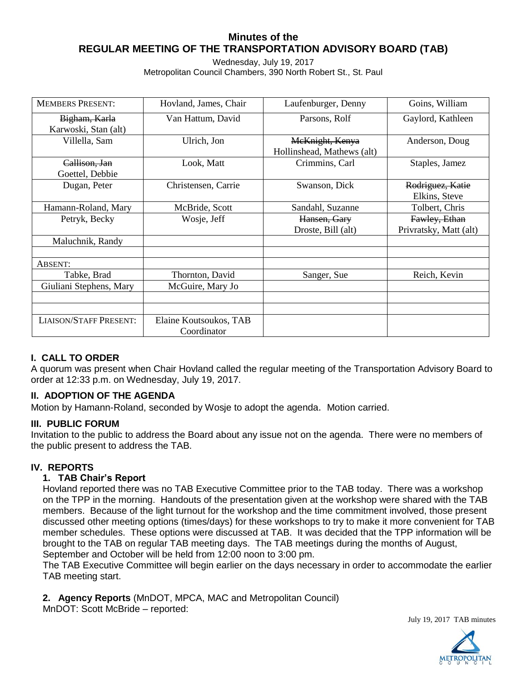# **Minutes of the REGULAR MEETING OF THE TRANSPORTATION ADVISORY BOARD (TAB)**

Wednesday, July 19, 2017 Metropolitan Council Chambers, 390 North Robert St., St. Paul

| <b>MEMBERS PRESENT:</b>       | Hovland, James, Chair  | Laufenburger, Denny        | Goins, William                    |
|-------------------------------|------------------------|----------------------------|-----------------------------------|
| Bigham, Karla                 | Van Hattum, David      | Parsons, Rolf              | Gaylord, Kathleen                 |
| Karwoski, Stan (alt)          |                        |                            |                                   |
| Villella, Sam                 | Ulrich, Jon            | McKnight, Kenya            | Anderson, Doug                    |
|                               |                        | Hollinshead, Mathews (alt) |                                   |
| Callison, Jan                 | Look, Matt             | Crimmins, Carl             | Staples, Jamez                    |
| Goettel, Debbie               |                        |                            |                                   |
| Dugan, Peter                  | Christensen, Carrie    | Swanson, Dick              | Rodriguez, Katie<br>Elkins, Steve |
| Hamann-Roland, Mary           | McBride, Scott         | Sandahl, Suzanne           | Tolbert, Chris                    |
| Petryk, Becky                 | Wosje, Jeff            | Hansen, Gary               | Fawley, Ethan                     |
|                               |                        |                            | Privratsky, Matt (alt)            |
|                               |                        | Droste, Bill (alt)         |                                   |
| Maluchnik, Randy              |                        |                            |                                   |
|                               |                        |                            |                                   |
| ABSENT:                       |                        |                            |                                   |
| Tabke, Brad                   | Thornton, David        | Sanger, Sue                | Reich, Kevin                      |
| Giuliani Stephens, Mary       | McGuire, Mary Jo       |                            |                                   |
|                               |                        |                            |                                   |
|                               |                        |                            |                                   |
| <b>LIAISON/STAFF PRESENT:</b> | Elaine Koutsoukos, TAB |                            |                                   |
|                               | Coordinator            |                            |                                   |

# **I. CALL TO ORDER**

A quorum was present when Chair Hovland called the regular meeting of the Transportation Advisory Board to order at 12:33 p.m. on Wednesday, July 19, 2017.

#### **II. ADOPTION OF THE AGENDA**

Motion by Hamann-Roland, seconded by Wosje to adopt the agenda. Motion carried.

#### **III. PUBLIC FORUM**

Invitation to the public to address the Board about any issue not on the agenda. There were no members of the public present to address the TAB.

#### **IV. REPORTS**

#### **1. TAB Chair's Report**

Hovland reported there was no TAB Executive Committee prior to the TAB today. There was a workshop on the TPP in the morning. Handouts of the presentation given at the workshop were shared with the TAB members. Because of the light turnout for the workshop and the time commitment involved, those present discussed other meeting options (times/days) for these workshops to try to make it more convenient for TAB member schedules. These options were discussed at TAB. It was decided that the TPP information will be brought to the TAB on regular TAB meeting days. The TAB meetings during the months of August, September and October will be held from 12:00 noon to 3:00 pm.

The TAB Executive Committee will begin earlier on the days necessary in order to accommodate the earlier TAB meeting start.

**2. Agency Reports** (MnDOT, MPCA, MAC and Metropolitan Council) MnDOT: Scott McBride – reported:

July 19, 2017 TAB minutes

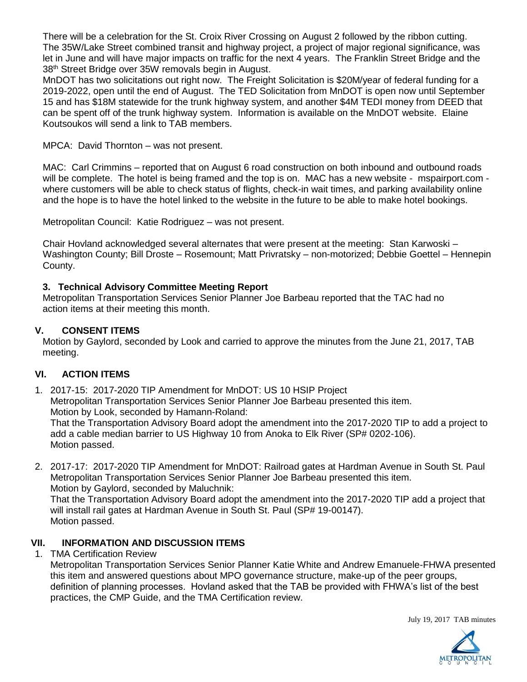There will be a celebration for the St. Croix River Crossing on August 2 followed by the ribbon cutting. The 35W/Lake Street combined transit and highway project, a project of major regional significance, was let in June and will have major impacts on traffic for the next 4 years. The Franklin Street Bridge and the 38th Street Bridge over 35W removals begin in August.

MnDOT has two solicitations out right now. The Freight Solicitation is \$20M/year of federal funding for a 2019-2022, open until the end of August. The TED Solicitation from MnDOT is open now until September 15 and has \$18M statewide for the trunk highway system, and another \$4M TEDI money from DEED that can be spent off of the trunk highway system. Information is available on the MnDOT website. Elaine Koutsoukos will send a link to TAB members.

MPCA: David Thornton – was not present.

MAC: Carl Crimmins – reported that on August 6 road construction on both inbound and outbound roads will be complete. The hotel is being framed and the top is on. MAC has a new website - mspairport.com where customers will be able to check status of flights, check-in wait times, and parking availability online and the hope is to have the hotel linked to the website in the future to be able to make hotel bookings.

Metropolitan Council: Katie Rodriguez – was not present.

Chair Hovland acknowledged several alternates that were present at the meeting: Stan Karwoski – Washington County; Bill Droste – Rosemount; Matt Privratsky – non-motorized; Debbie Goettel – Hennepin County.

# **3. Technical Advisory Committee Meeting Report**

Metropolitan Transportation Services Senior Planner Joe Barbeau reported that the TAC had no action items at their meeting this month.

### **V. CONSENT ITEMS**

Motion by Gaylord, seconded by Look and carried to approve the minutes from the June 21, 2017, TAB meeting.

# **VI. ACTION ITEMS**

1. 2017-15: 2017-2020 TIP Amendment for MnDOT: US 10 HSIP Project Metropolitan Transportation Services Senior Planner Joe Barbeau presented this item. Motion by Look, seconded by Hamann-Roland: That the Transportation Advisory Board adopt the amendment into the 2017-2020 TIP to add a project to add a cable median barrier to US Highway 10 from Anoka to Elk River (SP# 0202-106). Motion passed.

2. 2017-17: 2017-2020 TIP Amendment for MnDOT: Railroad gates at Hardman Avenue in South St. Paul Metropolitan Transportation Services Senior Planner Joe Barbeau presented this item. Motion by Gaylord, seconded by Maluchnik:

That the Transportation Advisory Board adopt the amendment into the 2017-2020 TIP add a project that will install rail gates at Hardman Avenue in South St. Paul (SP# 19-00147). Motion passed.

# **VII. INFORMATION AND DISCUSSION ITEMS**

1. TMA Certification Review

Metropolitan Transportation Services Senior Planner Katie White and Andrew Emanuele-FHWA presented this item and answered questions about MPO governance structure, make-up of the peer groups, definition of planning processes. Hovland asked that the TAB be provided with FHWA's list of the best practices, the CMP Guide, and the TMA Certification review.

July 19, 2017 TAB minutes